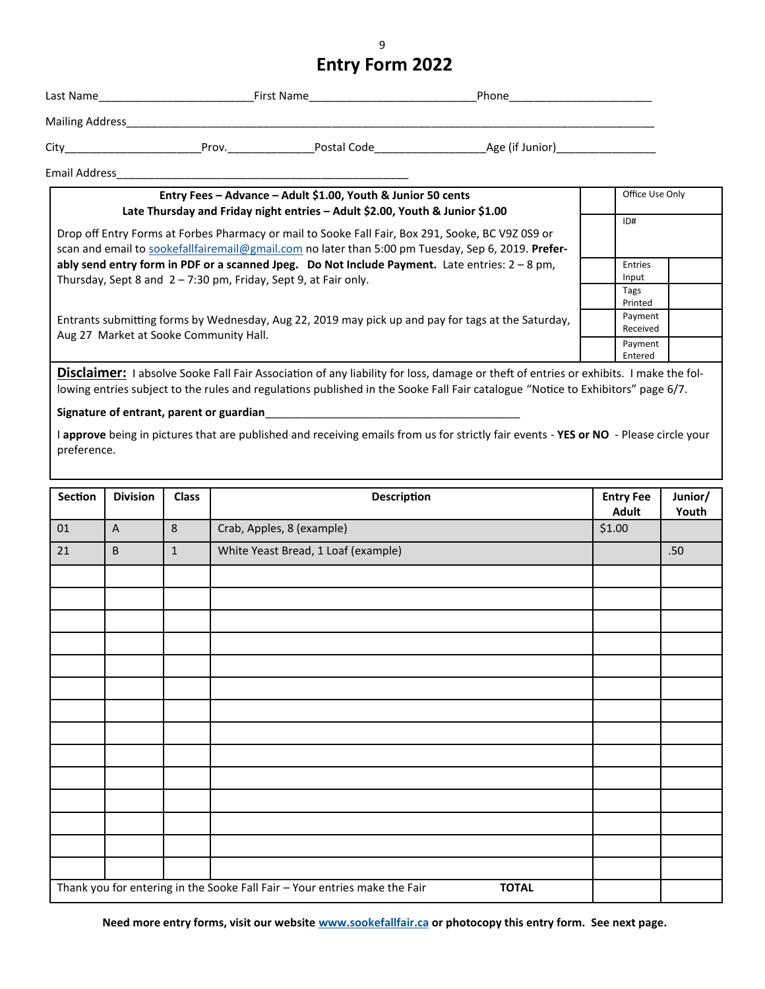## **Entry Form 2022**

| Last Name            | First Name |             | Phone                                                                    |  |
|----------------------|------------|-------------|--------------------------------------------------------------------------|--|
| Mailing Address      |            |             |                                                                          |  |
| City                 | Prov.      | Postal Code | Age (if Junior) <b>Age (if Support Strategy Age (if Support Strategy</b> |  |
| <b>Email Address</b> |            |             |                                                                          |  |

| Entry Fees - Advance - Adult \$1.00, Youth & Junior 50 cents<br>Late Thursday and Friday night entries - Adult \$2.00, Youth & Junior \$1.00                                                            |  | Office Use Only<br>ID# |  |
|---------------------------------------------------------------------------------------------------------------------------------------------------------------------------------------------------------|--|------------------------|--|
| Drop off Entry Forms at Forbes Pharmacy or mail to Sooke Fall Fair, Box 291, Sooke, BC V9Z 0S9 or<br>scan and email to sookefallfairemail@gmail.com no later than 5:00 pm Tuesday, Sep 6, 2019. Prefer- |  |                        |  |
| ably send entry form in PDF or a scanned Jpeg. Do Not Include Payment. Late entries: $2 - 8$ pm,<br>Thursday, Sept 8 and 2 - 7:30 pm, Friday, Sept 9, at Fair only.                                     |  | Entries<br>Input       |  |
|                                                                                                                                                                                                         |  | Tags<br>Printed        |  |
| Entrants submitting forms by Wednesday, Aug 22, 2019 may pick up and pay for tags at the Saturday,<br>Aug 27 Market at Sooke Community Hall.                                                            |  | Payment<br>Received    |  |
|                                                                                                                                                                                                         |  | Payment<br>Entered     |  |

Disclaimer: I absolve Sooke Fall Fair Association of any liability for loss, damage or theft of entries or exhibits. I make the following entries subject to the rules and regulations published in the Sooke Fall Fair catalogue "Notice to Exhibitors" page 6/7.

## Signature of entrant, parent or guardian\_

I **approve** being in pictures that are published and receiving emails from us for strictly fair events - **YES or NO** - Please circle your preference.

| Section                                                                                    | <b>Division</b> | <b>Class</b>   | <b>Description</b>                  | <b>Entry Fee</b><br><b>Adult</b> | Junior/<br>Youth |
|--------------------------------------------------------------------------------------------|-----------------|----------------|-------------------------------------|----------------------------------|------------------|
| 01                                                                                         | $\overline{A}$  | $8\phantom{1}$ | Crab, Apples, 8 (example)           | \$1.00                           |                  |
| 21                                                                                         | $\sf B$         | $\mathbf 1$    | White Yeast Bread, 1 Loaf (example) |                                  | $.50\,$          |
|                                                                                            |                 |                |                                     |                                  |                  |
|                                                                                            |                 |                |                                     |                                  |                  |
|                                                                                            |                 |                |                                     |                                  |                  |
|                                                                                            |                 |                |                                     |                                  |                  |
|                                                                                            |                 |                |                                     |                                  |                  |
|                                                                                            |                 |                |                                     |                                  |                  |
|                                                                                            |                 |                |                                     |                                  |                  |
|                                                                                            |                 |                |                                     |                                  |                  |
|                                                                                            |                 |                |                                     |                                  |                  |
|                                                                                            |                 |                |                                     |                                  |                  |
|                                                                                            |                 |                |                                     |                                  |                  |
|                                                                                            |                 |                |                                     |                                  |                  |
|                                                                                            |                 |                |                                     |                                  |                  |
|                                                                                            |                 |                |                                     |                                  |                  |
| Thank you for entering in the Sooke Fall Fair - Your entries make the Fair<br><b>TOTAL</b> |                 |                |                                     |                                  |                  |

**Need more entry forms, visit our website www.sookefallfair.ca or photocopy this entry form. See next page.**